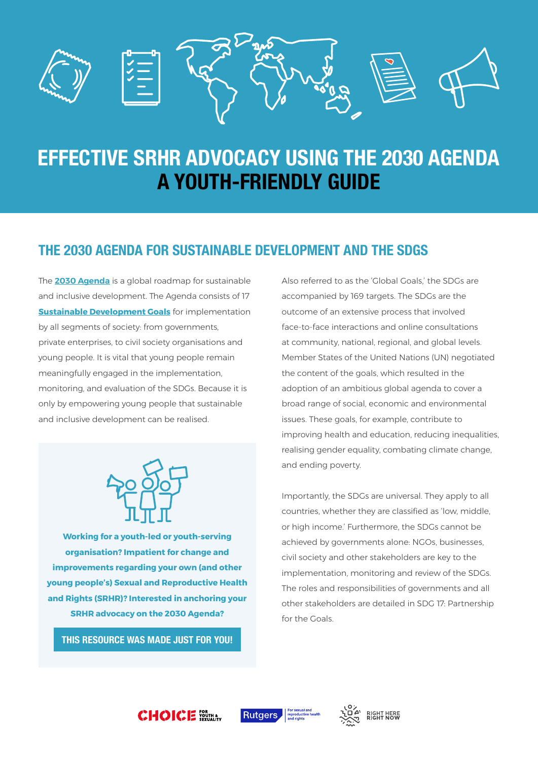

# **EFFECTIVE SRHR ADVOCACY USING THE 2030 AGENDA A YOUTH-FRIENDLY GUIDE**

# **THE 2030 AGENDA FOR SUSTAINABLE DEVELOPMENT AND THE SDGS**

The **[2030 Agenda](https://sustainabledevelopment.un.org/post2015/transformingourworld)** is a global roadmap for sustainable and inclusive development. The Agenda consists of 17 **[Sustainable Development Goals](https://sustainabledevelopment.un.org/sdgs)** for implementation by all segments of society: from governments, private enterprises, to civil society organisations and young people. It is vital that young people remain meaningfully engaged in the implementation, monitoring, and evaluation of the SDGs. Because it is only by empowering young people that sustainable and inclusive development can be realised.



**Working for a youth-led or youth-serving organisation? Impatient for change and improvements regarding your own (and other young people's) Sexual and Reproductive Health and Rights (SRHR)? Interested in anchoring your SRHR advocacy on the 2030 Agenda?**

**THIS RESOURCE WAS MADE JUST FOR YOU!**

**CHOICE FORMAL** 

Also referred to as the 'Global Goals,' the SDGs are accompanied by 169 targets. The SDGs are the outcome of an extensive process that involved face-to-face interactions and online consultations at community, national, regional, and global levels. Member States of the United Nations (UN) negotiated the content of the goals, which resulted in the adoption of an ambitious global agenda to cover a broad range of social, economic and environmental issues. These goals, for example, contribute to improving health and education, reducing inequalities, realising gender equality, combating climate change, and ending poverty.

Importantly, the SDGs are universal. They apply to all countries, whether they are classified as 'low, middle, or high income.' Furthermore, the SDGs cannot be achieved by governments alone: NGOs, businesses, civil society and other stakeholders are key to the implementation, monitoring and review of the SDGs. The roles and responsibilities of governments and all other stakeholders are detailed in SDG 17: Partnership for the Goals.





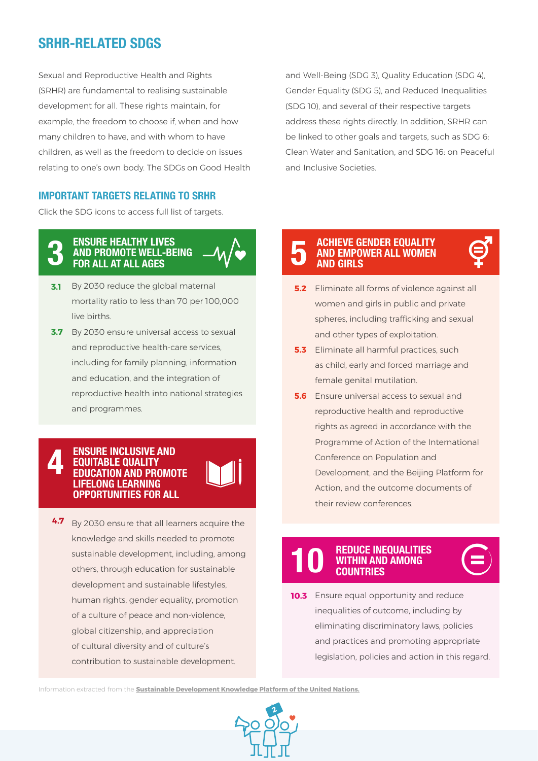# **SRHR-RELATED SDGS**

Sexual and Reproductive Health and Rights (SRHR) are fundamental to realising sustainable development for all. These rights maintain, for example, the freedom to choose if, when and how many children to have, and with whom to have children, as well as the freedom to decide on issues relating to one's own body. The SDGs on Good Health

### **IMPORTANT TARGETS RELATING TO SRHR**

Click the SDG icons to access full list of targets.

#### **ENSURE HEALTHY LIVES AND PROMOTE WELL-BEING FOR ALL AT ALL AGES 3**



**3.7** By 2030 ensure universal access to sexual and reproductive health-care services, including for family planning, information and education, and the integration of [reproductive health into national strategies](https://sustainabledevelopment.un.org/sdg3)  and programmes.

#### **ENSURE INCLUSIVE AND EQUITABLE QUALITY EDUCATION AND PROMOTE LIFELONG LEARNING OPPORTUNITIES FOR ALL 4**

**4.7** By 2030 ensure that all learners acquire the knowledge and skills needed to promote [sustainable development, including, among](https://sustainabledevelopment.un.org/sdg4)  others, through education for sustainable development and sustainable lifestyles, human rights, gender equality, promotion of a culture of peace and non-violence, global citizenship, and appreciation of cultural diversity and of culture's contribution to sustainable development.

and Well-Being (SDG 3), Quality Education (SDG 4), Gender Equality (SDG 5), and Reduced Inequalities (SDG 10), and several of their respective targets address these rights directly. In addition, SRHR can be linked to other goals and targets, such as SDG 6: Clean Water and Sanitation, and SDG 16: on Peaceful and Inclusive Societies.

#### **ACHIEVE GENDER EQUALITY AND EMPOWER ALL WOMEN AND GIRLS 5**

- **5.2** Eliminate all forms of violence against all women and girls in public and private spheres, including trafficking and sexual and other types of exploitation.
- Eliminate all harmful practices, such **5.3** as child, early and forced marriage and female genital mutilation.
- **5.6** Ensure universal access to sexual and reproductive health and reproductive rights as agreed in accordance with the Programme of Action of the International Conference on Population and [Development, and the Beijing Platform for](https://sustainabledevelopment.un.org/sdg5)  Action, and the outcome documents of their review conferences.

#### **REDUCE INEQUALITIES WITHIN AND AMONG COUNTRIES 10**



Ensure equal opportunity and reduce **10.3** inequalities of outcome, including by eliminating discriminatory laws, policies and practices and promoting appropriate [legislation, policies and action in this regard.](https://sustainabledevelopment.un.org/sdg10)

Information extracted from the **[Sustainable Development Knowledge Platform of the United Nations.](https://sustainabledevelopment.un.org/)**

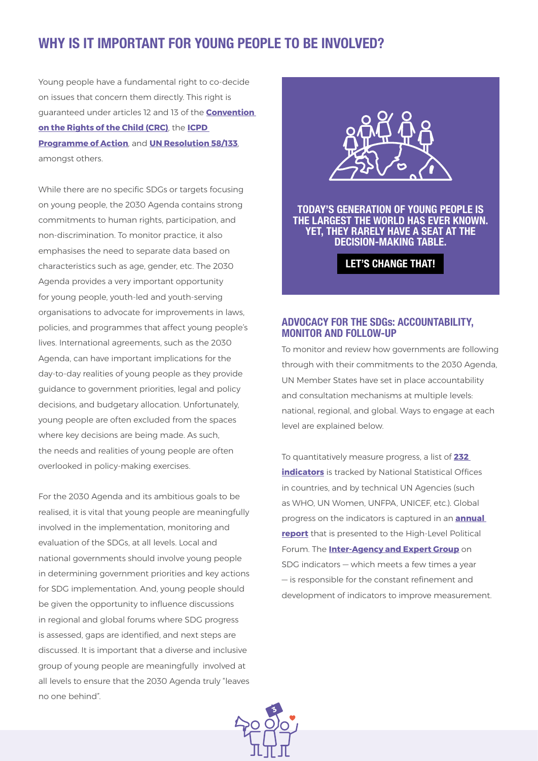## **WHY IS IT IMPORTANT FOR YOUNG PEOPLE TO BE INVOLVED?**

Young people have a fundamental right to co-decide on issues that concern them directly. This right is guaranteed under articles 12 and 13 of the **[Convention](http://www.ohchr.org/en/professionalinterest/pages/crc.aspx)  [on the Rights of the Child \(CRC\)](http://www.ohchr.org/en/professionalinterest/pages/crc.aspx)**, the **[ICPD](https://www.unfpa.org/sites/default/files/event-pdf/PoA_en.pdf)  [Programme of Action](https://www.unfpa.org/sites/default/files/event-pdf/PoA_en.pdf)**, and **[UN Resolution 58/133](http://www.un.org/ga/search/view_doc.asp?symbol=A/RES/58/133)**, amongst others.

While there are no specific SDGs or targets focusing on young people, the 2030 Agenda contains strong commitments to human rights, participation, and non-discrimination. To monitor practice, it also emphasises the need to separate data based on characteristics such as age, gender, etc. The 2030 Agenda provides a very important opportunity for young people, youth-led and youth-serving organisations to advocate for improvements in laws, policies, and programmes that affect young people's lives. International agreements, such as the 2030 Agenda, can have important implications for the day-to-day realities of young people as they provide guidance to government priorities, legal and policy decisions, and budgetary allocation. Unfortunately, young people are often excluded from the spaces where key decisions are being made. As such, the needs and realities of young people are often overlooked in policy-making exercises.

For the 2030 Agenda and its ambitious goals to be realised, it is vital that young people are meaningfully involved in the implementation, monitoring and evaluation of the SDGs, at all levels. Local and national governments should involve young people in determining government priorities and key actions for SDG implementation. And, young people should be given the opportunity to influence discussions in regional and global forums where SDG progress is assessed, gaps are identified, and next steps are discussed. It is important that a diverse and inclusive group of young people are meaningfully involved at all levels to ensure that the 2030 Agenda truly "leaves no one behind".



**TODAY'S GENERATION OF YOUNG PEOPLE IS THE LARGEST THE WORLD HAS EVER KNOWN. YET, THEY RARELY HAVE A SEAT AT THE DECISION-MAKING TABLE.**

**LET'S CHANGE THAT!**

#### **ADVOCACY FOR THE SDGs: ACCOUNTABILITY, MONITOR AND FOLLOW-UP**

To monitor and review how governments are following through with their commitments to the 2030 Agenda, UN Member States have set in place accountability and consultation mechanisms at multiple levels: national, regional, and global. Ways to engage at each level are explained below.

To quantitatively measure progress, a list of **[232](https://unstats.un.org/sdgs/indicators/indicators-list/)  [indicators](https://unstats.un.org/sdgs/indicators/indicators-list/)** is tracked by National Statistical Offices in countries, and by technical UN Agencies (such as WHO, UN Women, UNFPA, UNICEF, etc.). Global progress on the indicators is captured in an **[annual](http://www.un.org/ga/search/view_doc.asp?symbol=E/2017/66&Lang=EN)  [report](http://www.un.org/ga/search/view_doc.asp?symbol=E/2017/66&Lang=EN)** that is presented to the High-Level Political Forum. The **[Inter-Agency and Expert Group](https://unstats.un.org/sdgs/iaeg-sdgs/)** on SDG indicators — which meets a few times a year — is responsible for the constant refinement and development of indicators to improve measurement.

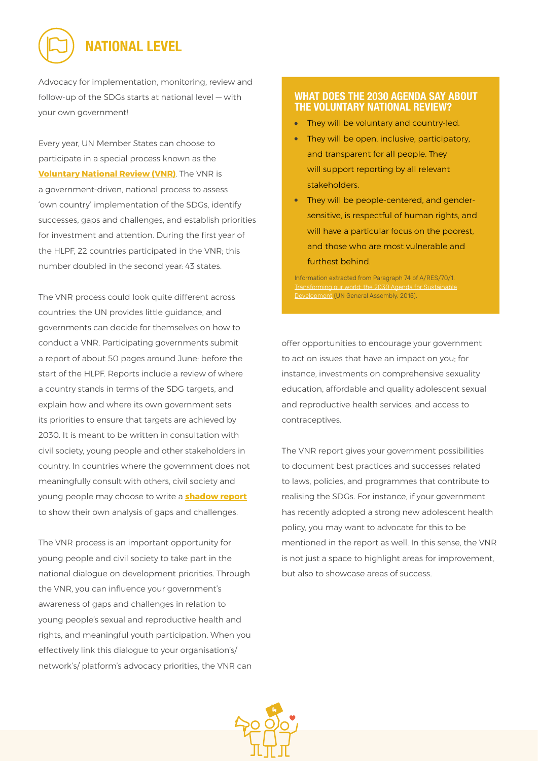# **NATIONAL LEVEL**

Advocacy for implementation, monitoring, review and follow-up of the SDGs starts at national level — with your own government!

Every year, UN Member States can choose to participate in a special process known as the **[Voluntary National Review \(VNR\)](https://sustainabledevelopment.un.org/vnrs/)**. The VNR is a government-driven, national process to assess 'own country' implementation of the SDGs, identify successes, gaps and challenges, and establish priorities for investment and attention. During the first year of the HLPF, 22 countries participated in the VNR; this number doubled in the second year: 43 states.

The VNR process could look quite different across countries: the UN provides little guidance, and governments can decide for themselves on how to conduct a VNR. Participating governments submit a report of about 50 pages around June: before the start of the HLPF. Reports include a review of where a country stands in terms of the SDG targets, and explain how and where its own government sets its priorities to ensure that targets are achieved by 2030. It is meant to be written in consultation with civil society, young people and other stakeholders in country. In countries where the government does not meaningfully consult with others, civil society and young people may choose to write a **[shadow report](https://www.ushrnetwork.org/sites/ushrnetwork.org/files/10_steps_to_writing_a_shadow_report_-_iccpr.pdf)** to show their own analysis of gaps and challenges.

The VNR process is an important opportunity for young people and civil society to take part in the national dialogue on development priorities. Through the VNR, you can influence your government's awareness of gaps and challenges in relation to young people's sexual and reproductive health and rights, and meaningful youth participation. When you effectively link this dialogue to your organisation's/ network's/ platform's advocacy priorities, the VNR can

#### **[WHAT DOES THE 2030 AGENDA SAY ABOUT](http://www.un.org/ga/search/view_doc.asp?symbol=A/RES/70/1&Lang=EN)  THE VOLUNTARY NATIONAL REVIEW?**

- They will be voluntary and country-led.
- They will be open, inclusive, participatory, and transparent for all people. They will support reporting by all relevant stakeholders.
- They will be people-centered, and gendersensitive, is respectful of human rights, and will have a particular focus on the poorest, and those who are most vulnerable and furthest behind.

Information extracted from Paragraph 74 of A/RES/70/1. Transforming our world: the 2030 Agenda for Sustainable Development (UN General Assembly, 2015).

offer opportunities to encourage your government to act on issues that have an impact on you; for instance, investments on comprehensive sexuality education, affordable and quality adolescent sexual and reproductive health services, and access to contraceptives.

The VNR report gives your government possibilities to document best practices and successes related to laws, policies, and programmes that contribute to realising the SDGs. For instance, if your government has recently adopted a strong new adolescent health policy, you may want to advocate for this to be mentioned in the report as well. In this sense, the VNR is not just a space to highlight areas for improvement, but also to showcase areas of success.

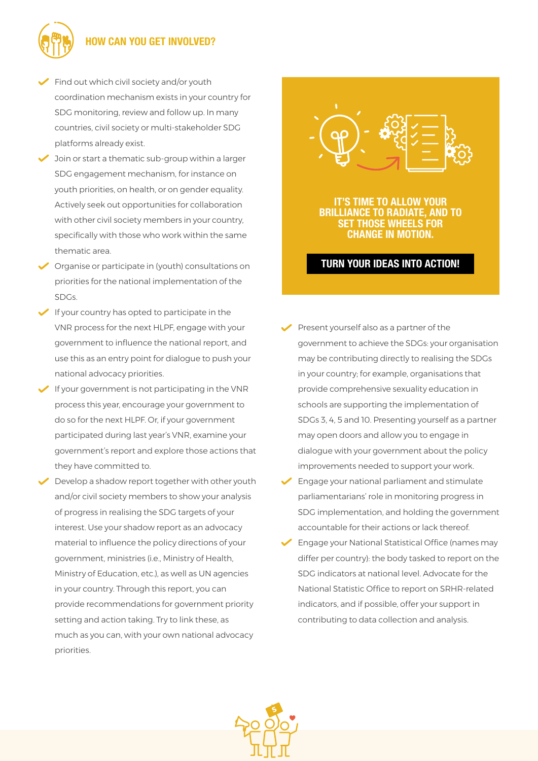

## **HOW CAN YOU GET INVOLVED?**

- Find out which civil society and/or youth coordination mechanism exists in your country for SDG monitoring, review and follow up. In many countries, civil society or multi-stakeholder SDG platforms already exist.
- $\blacktriangleright$  Join or start a thematic sub-group within a larger SDG engagement mechanism, for instance on youth priorities, on health, or on gender equality. Actively seek out opportunities for collaboration with other civil society members in your country, specifically with those who work within the same thematic area.
- Organise or participate in (youth) consultations on priorities for the national implementation of the SDGs.
- If your country has opted to participate in the VNR process for the next HLPF, engage with your government to influence the national report, and use this as an entry point for dialogue to push your national advocacy priorities.
- $\blacktriangleright$  If your government is not participating in the VNR process this year, encourage your government to do so for the next HLPF. Or, if your government participated during last year's VNR, examine your government's report and explore those actions that they have committed to.
- *P* Develop a shadow report together with other youth and/or civil society members to show your analysis of progress in realising the SDG targets of your interest. Use your shadow report as an advocacy material to influence the policy directions of your government, ministries (i.e., Ministry of Health, Ministry of Education, etc.), as well as UN agencies in your country. Through this report, you can provide recommendations for government priority setting and action taking. Try to link these, as much as you can, with your own national advocacy priorities.



**IT'S TIME TO ALLOW YOUR BRILLIANCE TO RADIATE, AND TO SET THOSE WHEELS FOR CHANGE IN MOTION.** 

## **TURN YOUR IDEAS INTO ACTION!**

- Present yourself also as a partner of the government to achieve the SDGs: your organisation may be contributing directly to realising the SDGs in your country; for example, organisations that provide comprehensive sexuality education in schools are supporting the implementation of SDGs 3, 4, 5 and 10. Presenting yourself as a partner may open doors and allow you to engage in dialogue with your government about the policy improvements needed to support your work.
- $\blacktriangleright$  Engage your national parliament and stimulate parliamentarians' role in monitoring progress in SDG implementation, and holding the government accountable for their actions or lack thereof.
- Engage your National Statistical Office (names may differ per country): the body tasked to report on the SDG indicators at national level. Advocate for the National Statistic Office to report on SRHR-related indicators, and if possible, offer your support in contributing to data collection and analysis.

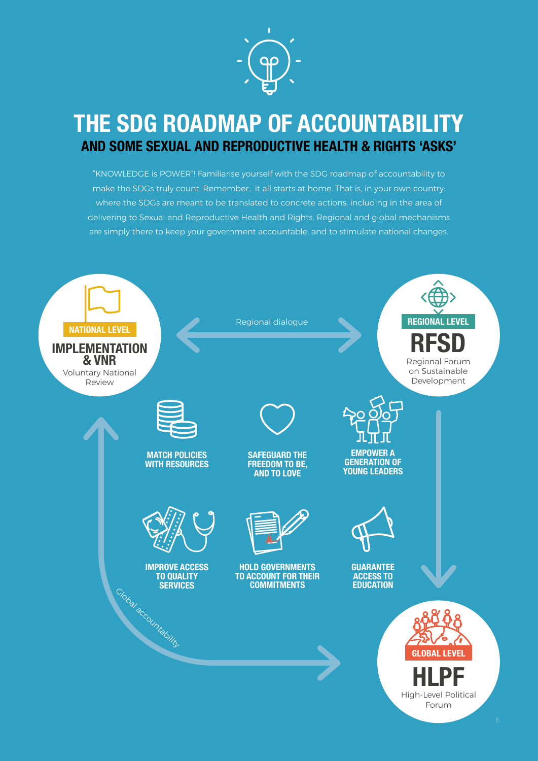

# **THE SDG ROADMAP OF ACCOUNTABILITY AND SOME SEXUAL AND REPRODUCTIVE HEALTH & RIGHTS 'ASKS'**

"KNOWLEDGE is POWER"! Familiarise yourself with the SDG roadmap of accountability to make the SDGs truly count. Remember… it all starts at home. That is, in your own country: where the SDGs are meant to be translated to concrete actions, including in the area of delivering to Sexual and Reproductive Health and Rights. Regional and global mechanisms are simply there to keep your government accountable, and to stimulate national changes.

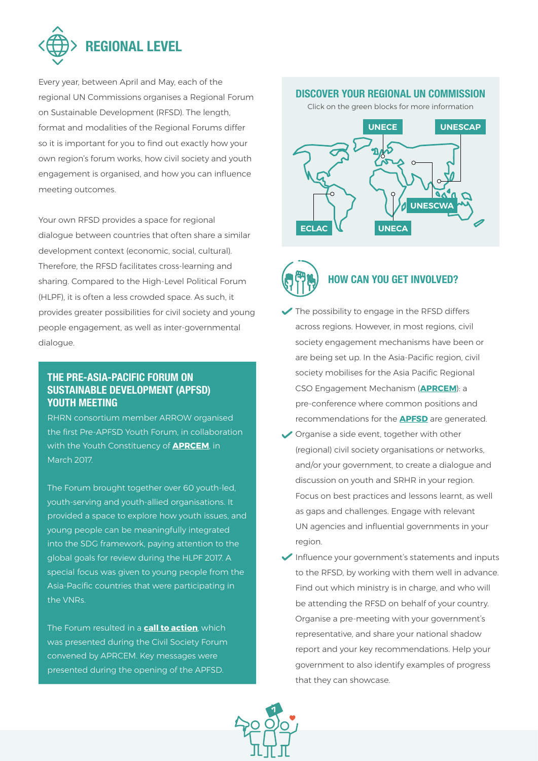

Every year, between April and May, each of the regional UN Commissions organises a Regional Forum on Sustainable Development (RFSD). The length, format and modalities of the Regional Forums differ so it is important for you to find out exactly how your own region's forum works, how civil society and youth engagement is organised, and how you can influence meeting outcomes.

Your own RFSD provides a space for regional dialogue between countries that often share a similar development context (economic, social, cultural). Therefore, the RFSD facilitates cross-learning and sharing. Compared to the High-Level Political Forum (HLPF), it is often a less crowded space. As such, it provides greater possibilities for civil society and young people engagement, as well as inter-governmental dialogue.

## **THE PRE-ASIA-PACIFIC FORUM ON SUSTAINABLE DEVELOPMENT (APFSD) YOUTH MEETING**

RHRN consortium member ARROW organised the first Pre-APFSD Youth Forum, in collaboration with the Youth Constituency of **[APRCEM](http://asiapacificrcem.org/about-rcem/what-is-the-rcem/)**, in March 2017.

The Forum brought together over 60 youth-led, youth-serving and youth-allied organisations. It provided a space to explore how youth issues, and young people can be meaningfully integrated into the SDG framework, paying attention to the global goals for review during the HLPF 2017. A special focus was given to young people from the Asia-Pacific countries that were participating in the VNRs.

The Forum resulted in a **[call to action](http://arrow.org.my/pre-apfsd-youth-forum-2017-asia-pacific-youth-call-action-sustainable-solutions-eradicate-poverty-promote-prosperity/)**, which was presented during the Civil Society Forum convened by APRCEM. Key messages were presented during the opening of the APFSD.

#### **DISCOVER YOUR REGIONAL UN COMMISSION**

Click on the green blocks for more information



# **HOW CAN YOU GET INVOLVED?**

- $\blacktriangleright$  The possibility to engage in the RFSD differs across regions. However, in most regions, civil society engagement mechanisms have been or are being set up. In the Asia-Pacific region, civil society mobilises for the Asia Pacific Regional CSO Engagement Mechanism (**[APRCEM](http://asiapacificrcem.org/)**): a pre-conference where common positions and recommendations for the **[APFSD](http://www.unescap.org/events/apfsd4)** are generated.
- Organise a side event, together with other (regional) civil society organisations or networks, and/or your government, to create a dialogue and discussion on youth and SRHR in your region. Focus on best practices and lessons learnt, as well as gaps and challenges. Engage with relevant UN agencies and influential governments in your region.
- Influence your government's statements and inputs to the RFSD, by working with them well in advance. Find out which ministry is in charge, and who will be attending the RFSD on behalf of your country. Organise a pre-meeting with your government's representative, and share your national shadow report and your key recommendations. Help your government to also identify examples of progress that they can showcase.

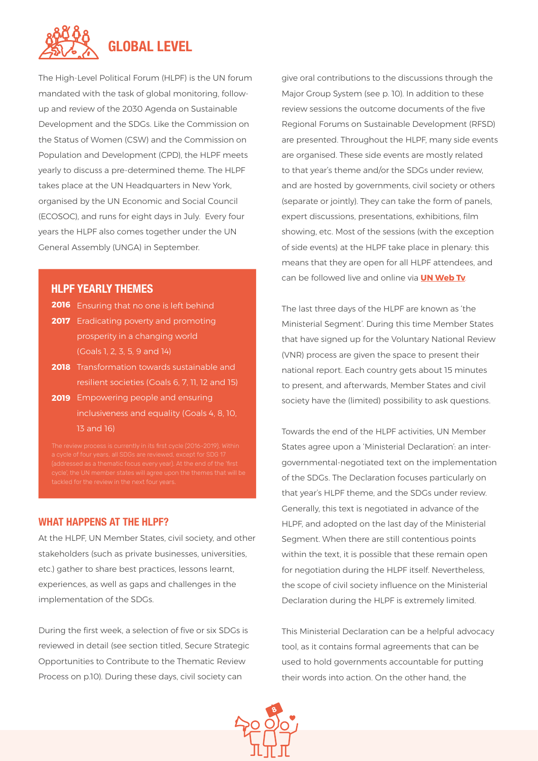

The High-Level Political Forum (HLPF) is the UN forum mandated with the task of global monitoring, followup and review of the 2030 Agenda on Sustainable Development and the SDGs. Like the Commission on the Status of Women (CSW) and the Commission on Population and Development (CPD), the HLPF meets yearly to discuss a pre-determined theme. The HLPF takes place at the UN Headquarters in New York, organised by the UN Economic and Social Council (ECOSOC), and runs for eight days in July. Every four years the HLPF also comes together under the UN General Assembly (UNGA) in September.

#### **HLPF YEARLY THEMES**

| <b>2016</b> Ensuring that no one is left behind |
|-------------------------------------------------|
| <b>2017</b> Eradicating poverty and promoting   |
| prosperity in a changing world                  |
| (Goals 1, 2, 3, 5, 9, and 14)                   |
| 2018 Transformation towards sustainable a       |

- Transformation towards sustainable and resilient societies (Goals 6, 7, 11, 12 and 15) **2018**
- Empowering people and ensuring **2019** inclusiveness and equality (Goals 4, 8, 10, 13 and 16)

#### **WHAT HAPPENS AT THE HLPF?**

At the HLPF, UN Member States, civil society, and other stakeholders (such as private businesses, universities, etc.) gather to share best practices, lessons learnt, experiences, as well as gaps and challenges in the implementation of the SDGs.

During the first week, a selection of five or six SDGs is reviewed in detail (see section titled, Secure Strategic Opportunities to Contribute to the Thematic Review Process on p.10). During these days, civil society can

give oral contributions to the discussions through the Major Group System (see p. 10). In addition to these review sessions the outcome documents of the five Regional Forums on Sustainable Development (RFSD) are presented. Throughout the HLPF, many side events are organised. These side events are mostly related to that year's theme and/or the SDGs under review, and are hosted by governments, civil society or others (separate or jointly). They can take the form of panels, expert discussions, presentations, exhibitions, film showing, etc. Most of the sessions (with the exception of side events) at the HLPF take place in plenary: this means that they are open for all HLPF attendees, and can be followed live and online via **[UN Web Tv](http://webtv.un.org/)**.

The last three days of the HLPF are known as 'the Ministerial Segment'. During this time Member States that have signed up for the Voluntary National Review (VNR) process are given the space to present their national report. Each country gets about 15 minutes to present, and afterwards, Member States and civil society have the (limited) possibility to ask questions.

Towards the end of the HLPF activities, UN Member States agree upon a 'Ministerial Declaration': an intergovernmental-negotiated text on the implementation of the SDGs. The Declaration focuses particularly on that year's HLPF theme, and the SDGs under review. Generally, this text is negotiated in advance of the HLPF, and adopted on the last day of the Ministerial Segment. When there are still contentious points within the text, it is possible that these remain open for negotiation during the HLPF itself. Nevertheless, the scope of civil society influence on the Ministerial Declaration during the HLPF is extremely limited.

This Ministerial Declaration can be a helpful advocacy tool, as it contains formal agreements that can be used to hold governments accountable for putting their words into action. On the other hand, the

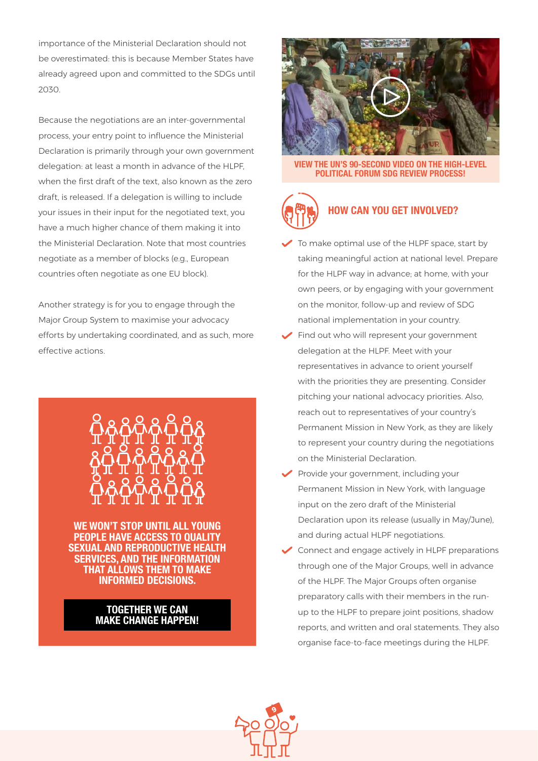importance of the Ministerial Declaration should not be overestimated: this is because Member States have already agreed upon and committed to the SDGs until 2030.

Because the negotiations are an inter-governmental process, your entry point to influence the Ministerial Declaration is primarily through your own government delegation: at least a month in advance of the HLPF, when the first draft of the text, also known as the zero draft, is released. If a delegation is willing to include your issues in their input for the negotiated text, you have a much higher chance of them making it into the Ministerial Declaration. Note that most countries negotiate as a member of blocks (e.g., European countries often negotiate as one EU block).

Another strategy is for you to engage through the Major Group System to maximise your advocacy efforts by undertaking coordinated, and as such, more effective actions.



**WE WON'T STOP UNTIL ALL YOUNG PEOPLE HAVE ACCESS TO QUALITY SEXUAL AND REPRODUCTIVE HEALTH SERVICES, AND THE INFORMATION THAT ALLOWS THEM TO MAKE INFORMED DECISIONS.**

#### **TOGETHER WE CAN MAKE CHANGE HAPPEN!**



**[VIEW THE UN'S 90-SECOND VIDEO ON THE HIGH-LEVEL](https://www.youtube.com/watch?v=hAcYYI4VhUg)  POLITICAL FORUM SDG REVIEW PROCESS!**



# **HOW CAN YOU GET INVOLVED?**

- To make optimal use of the HLPF space, start by taking meaningful action at national level. Prepare for the HLPF way in advance; at home, with your own peers, or by engaging with your government on the monitor, follow-up and review of SDG national implementation in your country.
- $\blacktriangleright$  Find out who will represent your government delegation at the HLPF. Meet with your representatives in advance to orient yourself with the priorities they are presenting. Consider pitching your national advocacy priorities. Also, reach out to representatives of your country's Permanent Mission in New York, as they are likely to represent your country during the negotiations on the Ministerial Declaration.
- Provide your government, including your Permanent Mission in New York, with language input on the zero draft of the Ministerial Declaration upon its release (usually in May/June), and during actual HLPF negotiations.
- $\triangleright$  Connect and engage actively in HLPF preparations through one of the Major Groups, well in advance of the HLPF. The Major Groups often organise preparatory calls with their members in the runup to the HLPF to prepare joint positions, shadow reports, and written and oral statements. They also organise face-to-face meetings during the HLPF.

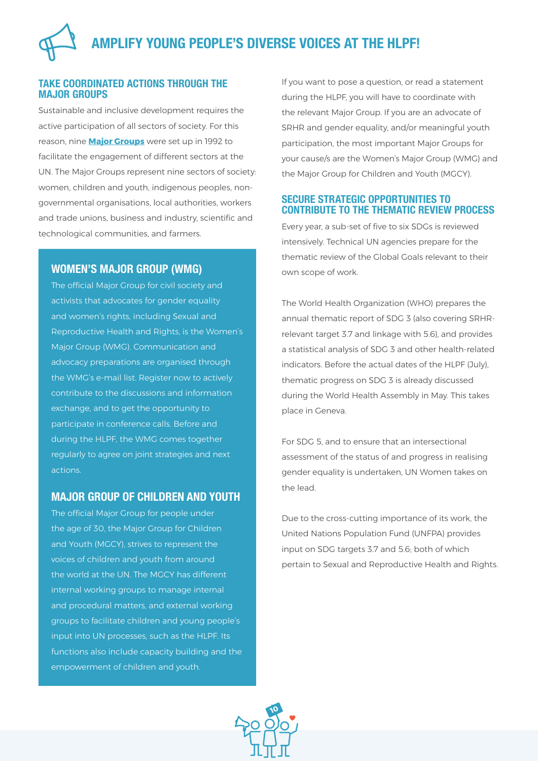### **TAKE COORDINATED ACTIONS THROUGH THE MAJOR GROUPS**

Sustainable and inclusive development requires the active participation of all sectors of society. For this reason, nine **[Major Groups](https://sustainabledevelopment.un.org/aboutmajorgroups.html)** were set up in 1992 to facilitate the engagement of different sectors at the UN. The Major Groups represent nine sectors of society: women, children and youth, indigenous peoples, nongovernmental organisations, local authorities, workers and trade unions, business and industry, scientific and technological communities, and farmers.

## **WOMEN'S MAJOR GROUP (WMG)**

The official Major Group for civil society and activists that advocates for gender equality and women's rights, including Sexual and Reproductive Health and Rights, is the Women's Major Group (WMG). Communication and advocacy preparations are organised through the WMG's e-mail list. Register now to actively contribute to the discussions and information exchange, and to get the opportunity to participate in conference calls. Before and during the HLPF, the WMG comes together regularly to agree on joint strategies and next actions.

## **MAJOR GROUP OF CHILDREN AND YOUTH**

The official Major Group for people under the age of 30, the Major Group for Children and Youth (MGCY), strives to represent the voices of children and youth from around the world at the UN. The MGCY has different internal working groups to manage internal and procedural matters, and external working groups to facilitate children and young people's input into UN processes, such as the HLPF. Its functions also include capacity building and the empowerment of children and youth.

If you want to pose a question, or read a statement during the HLPF, you will have to coordinate with the relevant Major Group. If you are an advocate of SRHR and gender equality, and/or meaningful youth participation, the most important Major Groups for your cause/s are the Women's Major Group (WMG) and the Major Group for Children and Youth (MGCY).

## **SECURE STRATEGIC OPPORTUNITIES TO CONTRIBUTE TO THE THEMATIC REVIEW PROCESS**

Every year, a sub-set of five to six SDGs is reviewed intensively. Technical UN agencies prepare for the thematic review of the Global Goals relevant to their own scope of work.

The World Health Organization (WHO) prepares the annual thematic report of SDG 3 (also covering SRHRrelevant target 3.7 and linkage with 5.6), and provides a statistical analysis of SDG 3 and other health-related indicators. Before the actual dates of the HLPF (July), thematic progress on SDG 3 is already discussed during the World Health Assembly in May. This takes place in Geneva.

For SDG 5, and to ensure that an intersectional assessment of the status of and progress in realising gender equality is undertaken, UN Women takes on the lead.

Due to the cross-cutting importance of its work, the United Nations Population Fund (UNFPA) provides input on SDG targets 3.7 and 5.6; both of which pertain to Sexual and Reproductive Health and Rights.

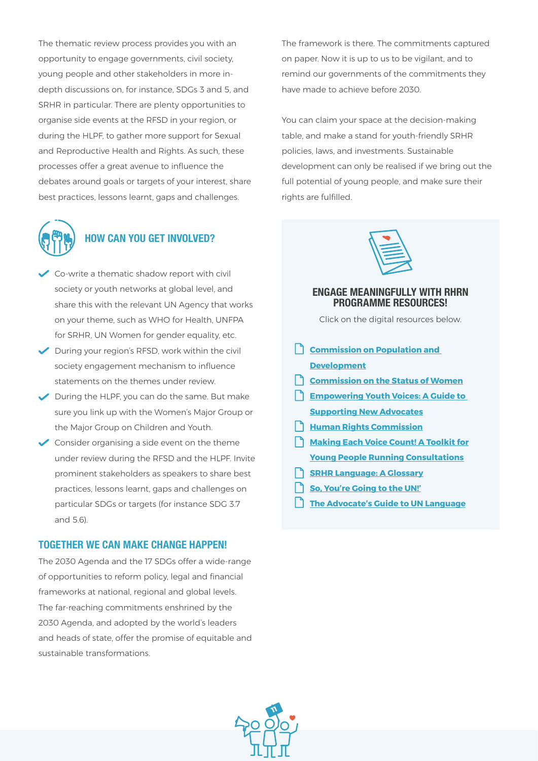The thematic review process provides you with an opportunity to engage governments, civil society, young people and other stakeholders in more indepth discussions on, for instance, SDGs 3 and 5, and SRHR in particular. There are plenty opportunities to organise side events at the RFSD in your region, or during the HLPF, to gather more support for Sexual and Reproductive Health and Rights. As such, these processes offer a great avenue to influence the debates around goals or targets of your interest, share best practices, lessons learnt, gaps and challenges.



# **HOW CAN YOU GET INVOLVED?**

- Co-write a thematic shadow report with civil society or youth networks at global level, and share this with the relevant UN Agency that works on your theme, such as WHO for Health, UNFPA for SRHR, UN Women for gender equality, etc.
- During your region's RFSD, work within the civil society engagement mechanism to influence statements on the themes under review.
- $\blacktriangleright$  During the HLPF, you can do the same. But make sure you link up with the Women's Major Group or the Major Group on Children and Youth.
- $\triangleright$  Consider organising a side event on the theme under review during the RFSD and the HLPF. Invite prominent stakeholders as speakers to share best practices, lessons learnt, gaps and challenges on particular SDGs or targets (for instance SDG 3.7 and 5.6).

#### **TOGETHER WE CAN MAKE CHANGE HAPPEN!**

The 2030 Agenda and the 17 SDGs offer a wide-range of opportunities to reform policy, legal and financial frameworks at national, regional and global levels. The far-reaching commitments enshrined by the 2030 Agenda, and adopted by the world's leaders and heads of state, offer the promise of equitable and sustainable transformations.

The framework is there. The commitments captured on paper. Now it is up to us to be vigilant, and to remind our governments of the commitments they have made to achieve before 2030.

You can claim your space at the decision-making table, and make a stand for youth-friendly SRHR policies, laws, and investments. Sustainable development can only be realised if we bring out the full potential of young people, and make sure their rights are fulfilled.



#### **ENGAGE MEANINGFULLY WITH RHRN PROGRAMME RESOURCES!**

Click on the digital resources below.

**Commission on Population and [Development](https://www.docdroid.net/YJ8PiIr/cpd-def-digital.pdf) [Commission on the Status of Women](https://www.docdroid.net/OkaM6yI/csw-factsheet-final-version.pdf) [Empowering Youth Voices: A Guide to](http://www.dance4life.nl/uitnodiging/uploads/empowering-youth-voices.pdf)  [Supporting New Advocates](http://www.dance4life.nl/uitnodiging/uploads/empowering-youth-voices.pdf) [Human Rights Commission](https://www.docdroid.net/e1g2SAy/hrc-factsheet-digitalfinal2.pdf) [Making Each Voice Count! A Toolkit for](http://www.dance4life.nl/uitnodiging/uploads/youth-consultation-toolkit.pdf) [Young People Running Consultations](http://www.dance4life.nl/uitnodiging/uploads/youth-consultation-toolkit.pdf) [SRHR Language: A Glossary](https://choiceforyouth.org/srhr/) [So, You're Going to the UN!'](https://www.docdroid.net/GnLdq2V/advocateattheun-def.pdf) [The Advocate's Guide to UN Language](https://choiceforyouth.org/app/uploads/2017/10/UN-Language-Tool-2017.pdf)**